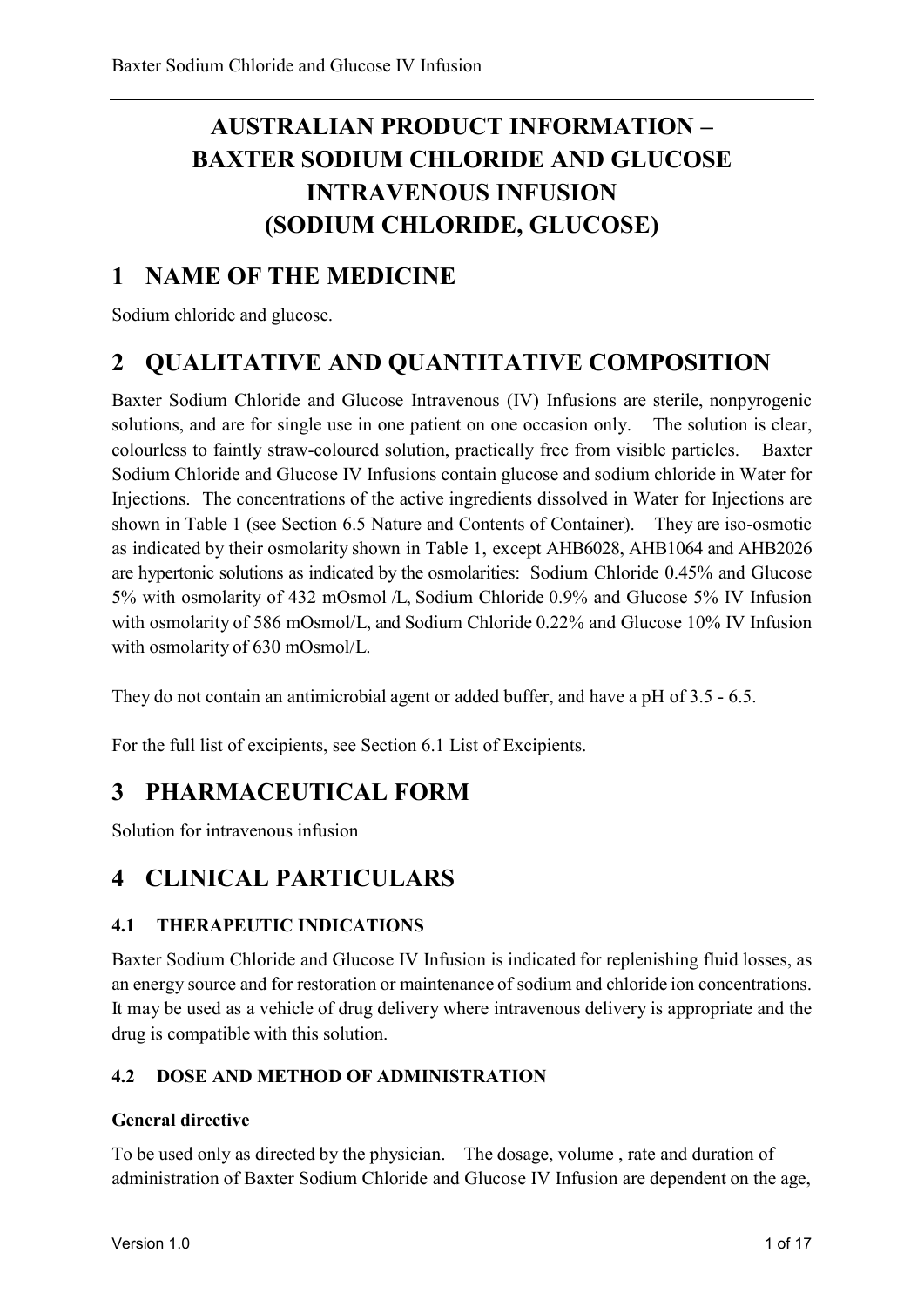# **AUSTRALIAN PRODUCT INFORMATION – BAXTER SODIUM CHLORIDE AND GLUCOSE INTRAVENOUS INFUSION (SODIUM CHLORIDE, GLUCOSE)**

## **1 NAME OF THE MEDICINE**

Sodium chloride and glucose.

## **2 QUALITATIVE AND QUANTITATIVE COMPOSITION**

Baxter Sodium Chloride and Glucose Intravenous (IV) Infusions are sterile, nonpyrogenic solutions, and are for single use in one patient on one occasion only. The solution is clear, colourless to faintly straw-coloured solution, practically free from visible particles. Baxter Sodium Chloride and Glucose IV Infusions contain glucose and sodium chloride in Water for Injections. The concentrations of the active ingredients dissolved in Water for Injections are shown in Table 1 (see Section 6.5 Nature and Contents of Container). They are iso-osmotic as indicated by their osmolarity shown in Table 1, except AHB6028, AHB1064 and AHB2026 are hypertonic solutions as indicated by the osmolarities: Sodium Chloride 0.45% and Glucose 5% with osmolarity of 432 mOsmol /L, Sodium Chloride 0.9% and Glucose 5% IV Infusion with osmolarity of 586 mOsmol/L, and Sodium Chloride 0.22% and Glucose 10% IV Infusion with osmolarity of 630 mOsmol/L.

They do not contain an antimicrobial agent or added buffer, and have a pH of 3.5 - 6.5.

For the full list of excipients, see Section 6.1 List of Excipients.

## **3 PHARMACEUTICAL FORM**

Solution for intravenous infusion

## **4 CLINICAL PARTICULARS**

## **4.1 THERAPEUTIC INDICATIONS**

Baxter Sodium Chloride and Glucose IV Infusion is indicated for replenishing fluid losses, as an energy source and for restoration or maintenance of sodium and chloride ion concentrations. It may be used as a vehicle of drug delivery where intravenous delivery is appropriate and the drug is compatible with this solution.

## **4.2 DOSE AND METHOD OF ADMINISTRATION**

#### **General directive**

To be used only as directed by the physician. The dosage, volume , rate and duration of administration of Baxter Sodium Chloride and Glucose IV Infusion are dependent on the age,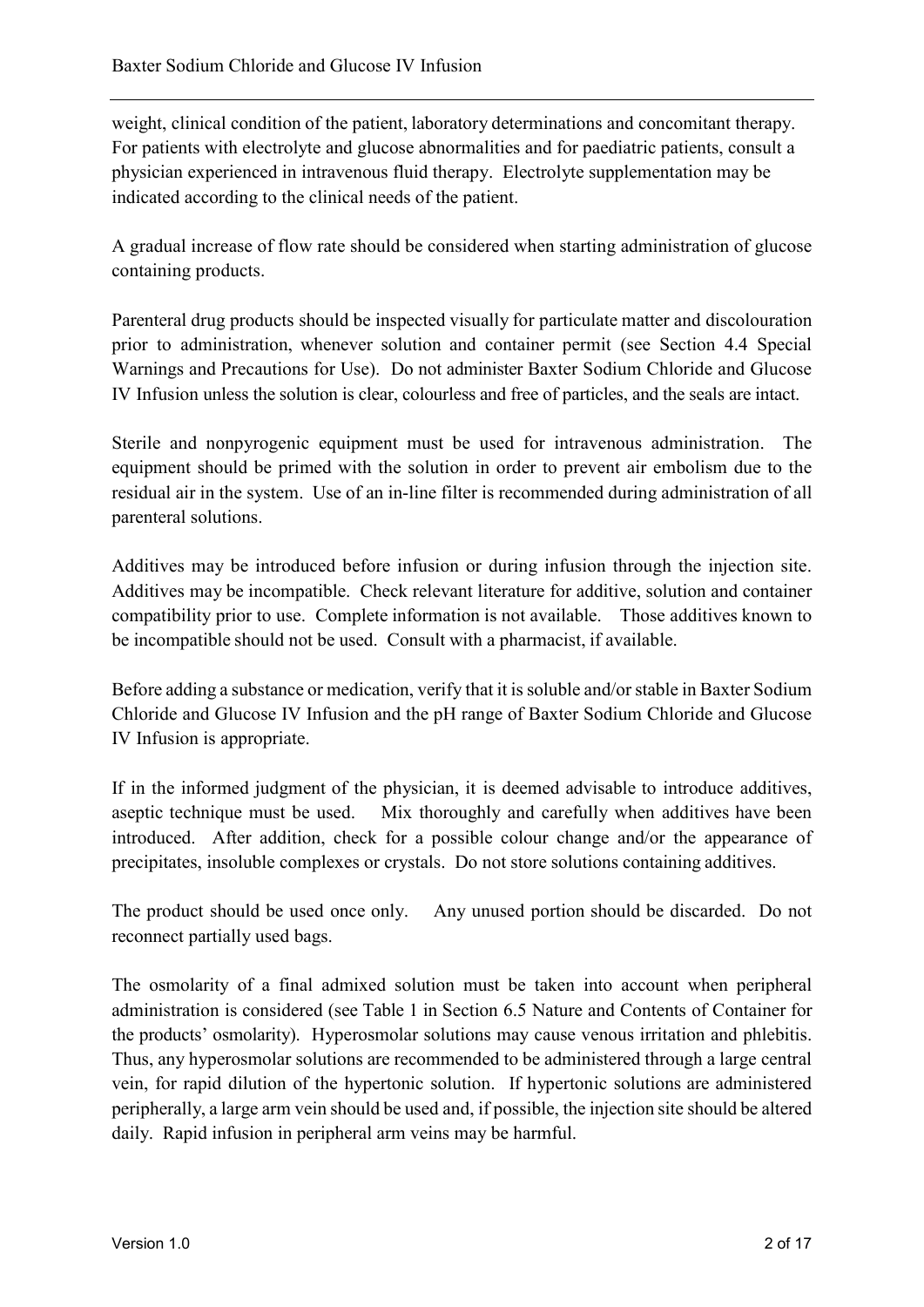weight, clinical condition of the patient, laboratory determinations and concomitant therapy. For patients with electrolyte and glucose abnormalities and for paediatric patients, consult a physician experienced in intravenous fluid therapy. Electrolyte supplementation may be indicated according to the clinical needs of the patient.

A gradual increase of flow rate should be considered when starting administration of glucose containing products.

Parenteral drug products should be inspected visually for particulate matter and discolouration prior to administration, whenever solution and container permit (see Section 4.4 Special Warnings and Precautions for Use). Do not administer Baxter Sodium Chloride and Glucose IV Infusion unless the solution is clear, colourless and free of particles, and the seals are intact.

Sterile and nonpyrogenic equipment must be used for intravenous administration. The equipment should be primed with the solution in order to prevent air embolism due to the residual air in the system. Use of an in-line filter is recommended during administration of all parenteral solutions.

Additives may be introduced before infusion or during infusion through the injection site. Additives may be incompatible. Check relevant literature for additive, solution and container compatibility prior to use. Complete information is not available. Those additives known to be incompatible should not be used. Consult with a pharmacist, if available.

Before adding a substance or medication, verify that it is soluble and/or stable in Baxter Sodium Chloride and Glucose IV Infusion and the pH range of Baxter Sodium Chloride and Glucose IV Infusion is appropriate.

If in the informed judgment of the physician, it is deemed advisable to introduce additives, aseptic technique must be used. Mix thoroughly and carefully when additives have been introduced. After addition, check for a possible colour change and/or the appearance of precipitates, insoluble complexes or crystals. Do not store solutions containing additives.

The product should be used once only. Any unused portion should be discarded. Do not reconnect partially used bags.

The osmolarity of a final admixed solution must be taken into account when peripheral administration is considered (see Table 1 in Section 6.5 Nature and Contents of Container for the products' osmolarity). Hyperosmolar solutions may cause venous irritation and phlebitis. Thus, any hyperosmolar solutions are recommended to be administered through a large central vein, for rapid dilution of the hypertonic solution. If hypertonic solutions are administered peripherally, a large arm vein should be used and, if possible, the injection site should be altered daily. Rapid infusion in peripheral arm veins may be harmful.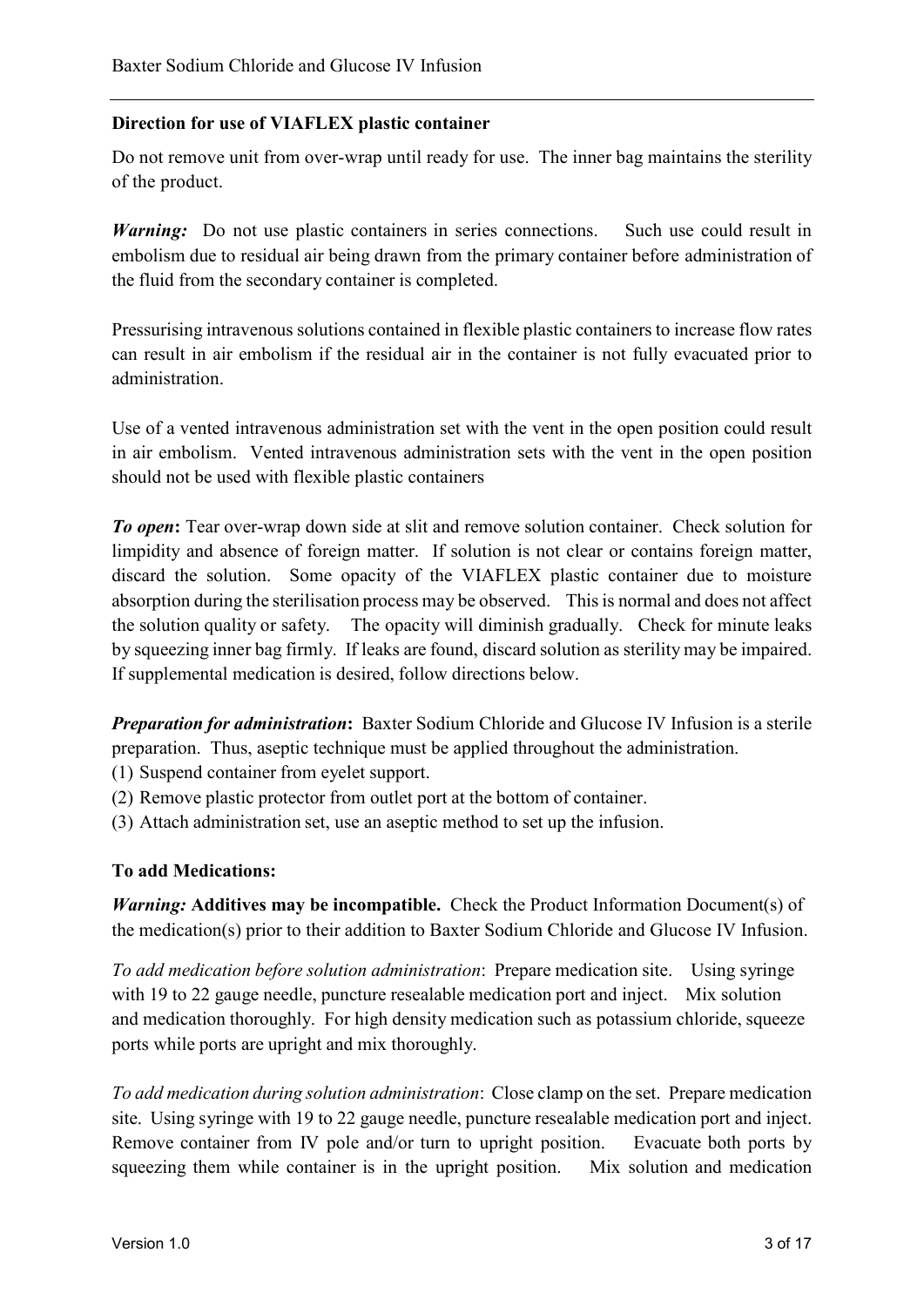#### **Direction for use of VIAFLEX plastic container**

Do not remove unit from over-wrap until ready for use. The inner bag maintains the sterility of the product.

*Warning:* Do not use plastic containers in series connections. Such use could result in embolism due to residual air being drawn from the primary container before administration of the fluid from the secondary container is completed.

Pressurising intravenous solutions contained in flexible plastic containers to increase flow rates can result in air embolism if the residual air in the container is not fully evacuated prior to administration.

Use of a vented intravenous administration set with the vent in the open position could result in air embolism. Vented intravenous administration sets with the vent in the open position should not be used with flexible plastic containers

*To open***:** Tear over-wrap down side at slit and remove solution container. Check solution for limpidity and absence of foreign matter. If solution is not clear or contains foreign matter, discard the solution. Some opacity of the VIAFLEX plastic container due to moisture absorption during the sterilisation process may be observed. This is normal and does not affect the solution quality or safety. The opacity will diminish gradually. Check for minute leaks by squeezing inner bag firmly. If leaks are found, discard solution as sterility may be impaired. If supplemental medication is desired, follow directions below.

*Preparation for administration***:** Baxter Sodium Chloride and Glucose IV Infusion is a sterile preparation. Thus, aseptic technique must be applied throughout the administration.

(1) Suspend container from eyelet support.

(2) Remove plastic protector from outlet port at the bottom of container.

(3) Attach administration set, use an aseptic method to set up the infusion.

#### **To add Medications:**

*Warning:* **Additives may be incompatible.** Check the Product Information Document(s) of the medication(s) prior to their addition to Baxter Sodium Chloride and Glucose IV Infusion.

*To add medication before solution administration*: Prepare medication site. Using syringe with 19 to 22 gauge needle, puncture resealable medication port and inject. Mix solution and medication thoroughly. For high density medication such as potassium chloride, squeeze ports while ports are upright and mix thoroughly.

*To add medication during solution administration*: Close clamp on the set. Prepare medication site. Using syringe with 19 to 22 gauge needle, puncture resealable medication port and inject. Remove container from IV pole and/or turn to upright position. Evacuate both ports by squeezing them while container is in the upright position. Mix solution and medication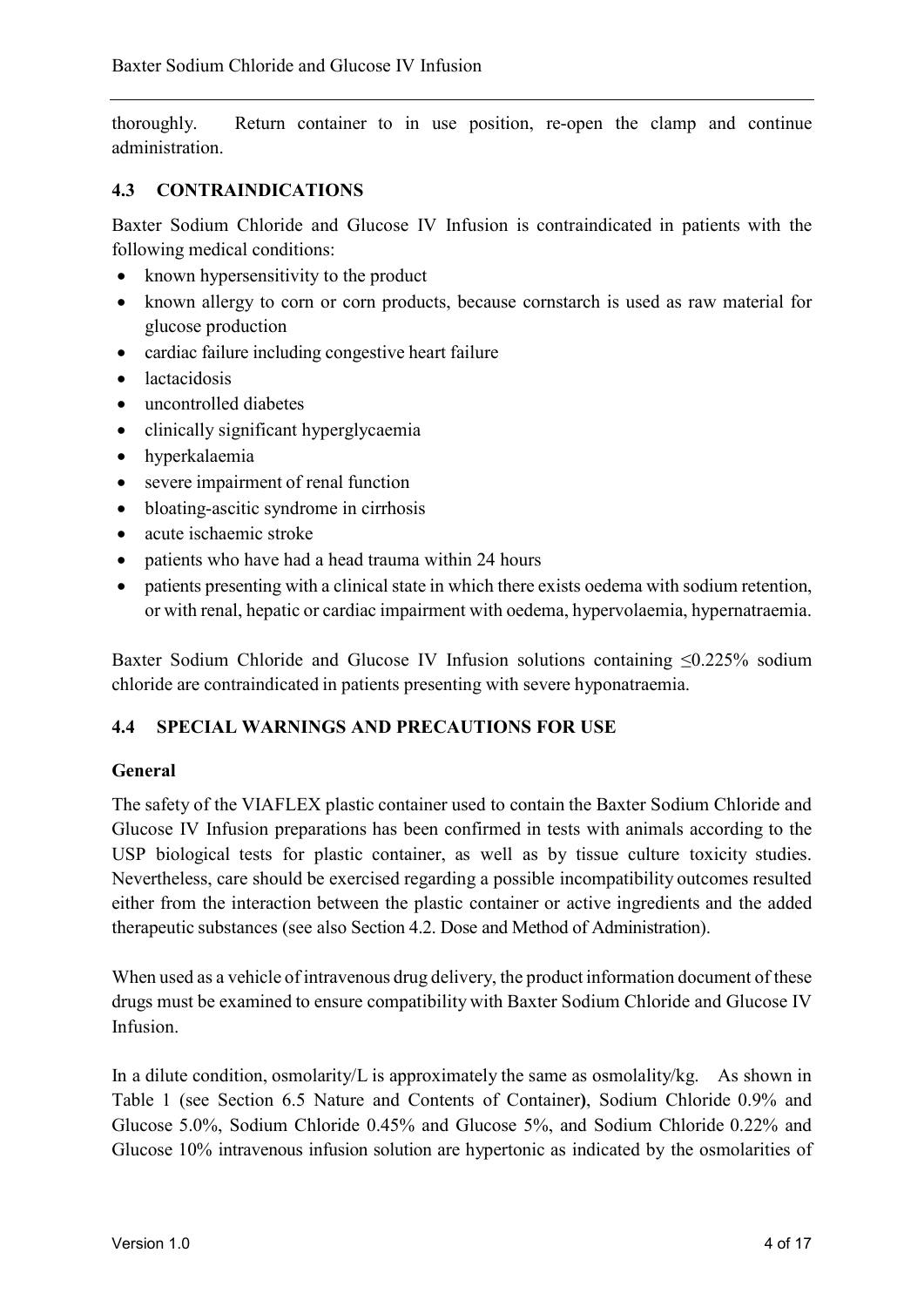thoroughly. Return container to in use position, re-open the clamp and continue administration.

#### **4.3 CONTRAINDICATIONS**

Baxter Sodium Chloride and Glucose IV Infusion is contraindicated in patients with the following medical conditions:

- known hypersensitivity to the product
- known allergy to corn or corn products, because cornstarch is used as raw material for glucose production
- cardiac failure including congestive heart failure
- lactacidosis
- uncontrolled diabetes
- clinically significant hyperglycaemia
- hyperkalaemia
- severe impairment of renal function
- bloating-ascitic syndrome in cirrhosis
- acute ischaemic stroke
- patients who have had a head trauma within 24 hours
- patients presenting with a clinical state in which there exists oedema with sodium retention, or with renal, hepatic or cardiac impairment with oedema, hypervolaemia, hypernatraemia.

Baxter Sodium Chloride and Glucose IV Infusion solutions containing ≤0.225% sodium chloride are contraindicated in patients presenting with severe hyponatraemia.

#### **4.4 SPECIAL WARNINGS AND PRECAUTIONS FOR USE**

#### **General**

The safety of the VIAFLEX plastic container used to contain the Baxter Sodium Chloride and Glucose IV Infusion preparations has been confirmed in tests with animals according to the USP biological tests for plastic container, as well as by tissue culture toxicity studies. Nevertheless, care should be exercised regarding a possible incompatibility outcomes resulted either from the interaction between the plastic container or active ingredients and the added therapeutic substances (see also Section 4.2. Dose and Method of Administration).

When used as a vehicle of intravenous drug delivery, the product information document of these drugs must be examined to ensure compatibility with Baxter Sodium Chloride and Glucose IV Infusion.

In a dilute condition, osmolarity/L is approximately the same as osmolality/kg. As shown in Table 1 (see Section 6.5 Nature and Contents of Container**)**, Sodium Chloride 0.9% and Glucose 5.0%, Sodium Chloride 0.45% and Glucose 5%, and Sodium Chloride 0.22% and Glucose 10% intravenous infusion solution are hypertonic as indicated by the osmolarities of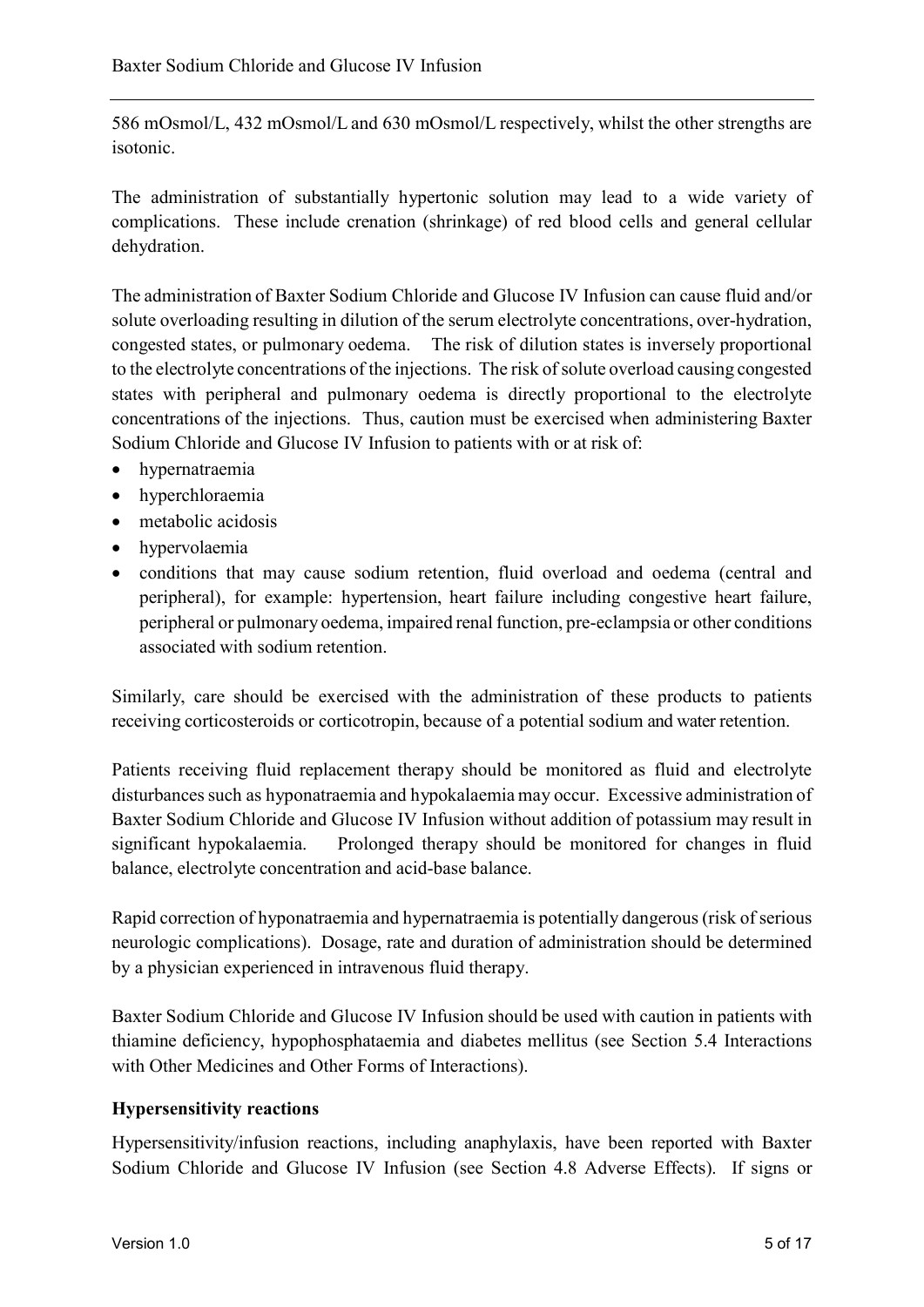586 mOsmol/L, 432 mOsmol/L and 630 mOsmol/L respectively, whilst the other strengths are isotonic.

The administration of substantially hypertonic solution may lead to a wide variety of complications. These include crenation (shrinkage) of red blood cells and general cellular dehydration.

The administration of Baxter Sodium Chloride and Glucose IV Infusion can cause fluid and/or solute overloading resulting in dilution of the serum electrolyte concentrations, over-hydration, congested states, or pulmonary oedema. The risk of dilution states is inversely proportional to the electrolyte concentrations of the injections. The risk of solute overload causing congested states with peripheral and pulmonary oedema is directly proportional to the electrolyte concentrations of the injections. Thus, caution must be exercised when administering Baxter Sodium Chloride and Glucose IV Infusion to patients with or at risk of:

- hypernatraemia
- hyperchloraemia
- metabolic acidosis
- hypervolaemia
- conditions that may cause sodium retention, fluid overload and oedema (central and peripheral), for example: hypertension, heart failure including congestive heart failure, peripheral or pulmonary oedema, impaired renal function, pre-eclampsia or other conditions associated with sodium retention.

Similarly, care should be exercised with the administration of these products to patients receiving corticosteroids or corticotropin, because of a potential sodium and water retention.

Patients receiving fluid replacement therapy should be monitored as fluid and electrolyte disturbances such as hyponatraemia and hypokalaemia may occur. Excessive administration of Baxter Sodium Chloride and Glucose IV Infusion without addition of potassium may result in significant hypokalaemia. Prolonged therapy should be monitored for changes in fluid balance, electrolyte concentration and acid-base balance.

Rapid correction of hyponatraemia and hypernatraemia is potentially dangerous (risk of serious neurologic complications). Dosage, rate and duration of administration should be determined by a physician experienced in intravenous fluid therapy.

Baxter Sodium Chloride and Glucose IV Infusion should be used with caution in patients with thiamine deficiency, hypophosphataemia and diabetes mellitus (see Section 5.4 Interactions with Other Medicines and Other Forms of Interactions).

#### **Hypersensitivity reactions**

Hypersensitivity/infusion reactions, including anaphylaxis, have been reported with Baxter Sodium Chloride and Glucose IV Infusion (see Section 4.8 Adverse Effects). If signs or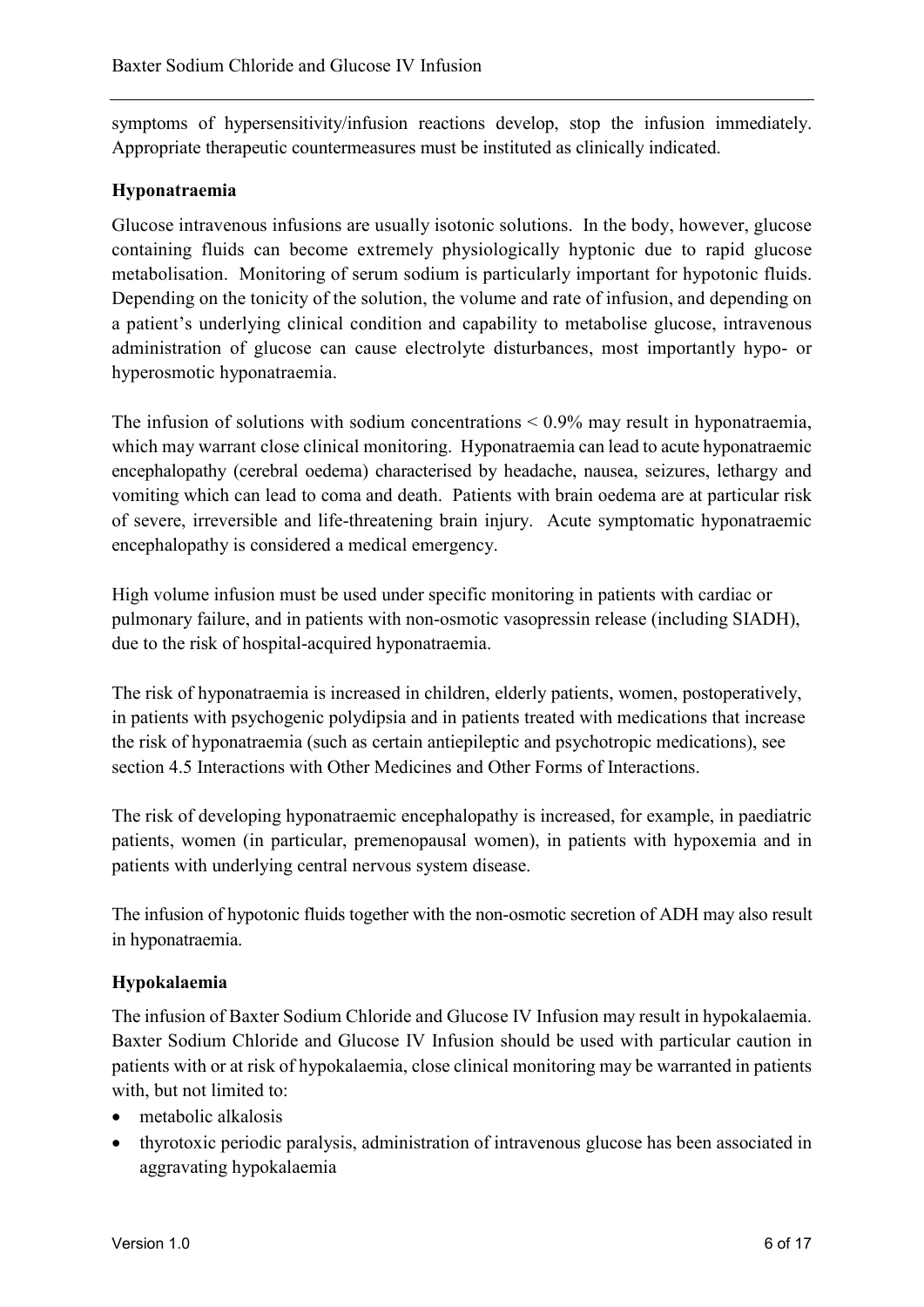symptoms of hypersensitivity/infusion reactions develop, stop the infusion immediately. Appropriate therapeutic countermeasures must be instituted as clinically indicated.

### **Hyponatraemia**

Glucose intravenous infusions are usually isotonic solutions. In the body, however, glucose containing fluids can become extremely physiologically hyptonic due to rapid glucose metabolisation. Monitoring of serum sodium is particularly important for hypotonic fluids. Depending on the tonicity of the solution, the volume and rate of infusion, and depending on a patient's underlying clinical condition and capability to metabolise glucose, intravenous administration of glucose can cause electrolyte disturbances, most importantly hypo- or hyperosmotic hyponatraemia.

The infusion of solutions with sodium concentrations  $\leq 0.9\%$  may result in hyponatraemia, which may warrant close clinical monitoring. Hyponatraemia can lead to acute hyponatraemic encephalopathy (cerebral oedema) characterised by headache, nausea, seizures, lethargy and vomiting which can lead to coma and death. Patients with brain oedema are at particular risk of severe, irreversible and life-threatening brain injury. Acute symptomatic hyponatraemic encephalopathy is considered a medical emergency.

High volume infusion must be used under specific monitoring in patients with cardiac or pulmonary failure, and in patients with non-osmotic vasopressin release (including SIADH), due to the risk of hospital-acquired hyponatraemia.

The risk of hyponatraemia is increased in children, elderly patients, women, postoperatively, in patients with psychogenic polydipsia and in patients treated with medications that increase the risk of hyponatraemia (such as certain antiepileptic and psychotropic medications), see section 4.5 Interactions with Other Medicines and Other Forms of Interactions.

The risk of developing hyponatraemic encephalopathy is increased, for example, in paediatric patients, women (in particular, premenopausal women), in patients with hypoxemia and in patients with underlying central nervous system disease.

The infusion of hypotonic fluids together with the non-osmotic secretion of ADH may also result in hyponatraemia.

## **Hypokalaemia**

The infusion of Baxter Sodium Chloride and Glucose IV Infusion may result in hypokalaemia. Baxter Sodium Chloride and Glucose IV Infusion should be used with particular caution in patients with or at risk of hypokalaemia, close clinical monitoring may be warranted in patients with, but not limited to:

- metabolic alkalosis
- thyrotoxic periodic paralysis, administration of intravenous glucose has been associated in aggravating hypokalaemia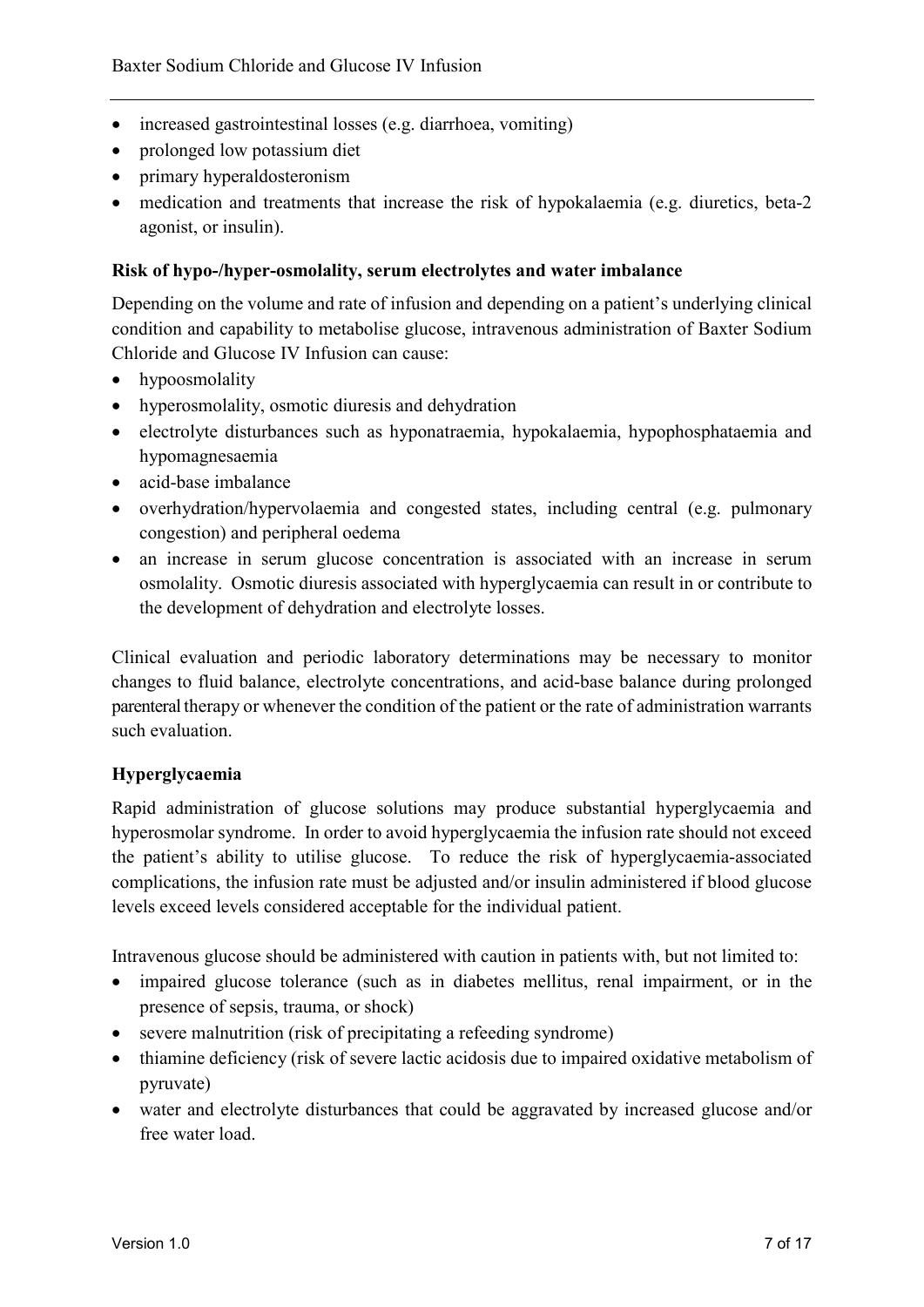- increased gastrointestinal losses (e.g. diarrhoea, vomiting)
- prolonged low potassium diet
- primary hyperaldosteronism
- medication and treatments that increase the risk of hypokalaemia (e.g. diuretics, beta-2 agonist, or insulin).

#### **Risk of hypo-/hyper-osmolality, serum electrolytes and water imbalance**

Depending on the volume and rate of infusion and depending on a patient's underlying clinical condition and capability to metabolise glucose, intravenous administration of Baxter Sodium Chloride and Glucose IV Infusion can cause:

- hypoosmolality
- hyperosmolality, osmotic diuresis and dehydration
- electrolyte disturbances such as hyponatraemia, hypokalaemia, hypophosphataemia and hypomagnesaemia
- acid-base imbalance
- overhydration/hypervolaemia and congested states, including central (e.g. pulmonary congestion) and peripheral oedema
- an increase in serum glucose concentration is associated with an increase in serum osmolality. Osmotic diuresis associated with hyperglycaemia can result in or contribute to the development of dehydration and electrolyte losses.

Clinical evaluation and periodic laboratory determinations may be necessary to monitor changes to fluid balance, electrolyte concentrations, and acid-base balance during prolonged parenteral therapy or whenever the condition of the patient or the rate of administration warrants such evaluation.

#### **Hyperglycaemia**

Rapid administration of glucose solutions may produce substantial hyperglycaemia and hyperosmolar syndrome. In order to avoid hyperglycaemia the infusion rate should not exceed the patient's ability to utilise glucose. To reduce the risk of hyperglycaemia-associated complications, the infusion rate must be adjusted and/or insulin administered if blood glucose levels exceed levels considered acceptable for the individual patient.

Intravenous glucose should be administered with caution in patients with, but not limited to:

- impaired glucose tolerance (such as in diabetes mellitus, renal impairment, or in the presence of sepsis, trauma, or shock)
- severe malnutrition (risk of precipitating a refeeding syndrome)
- thiamine deficiency (risk of severe lactic acidosis due to impaired oxidative metabolism of pyruvate)
- water and electrolyte disturbances that could be aggravated by increased glucose and/or free water load.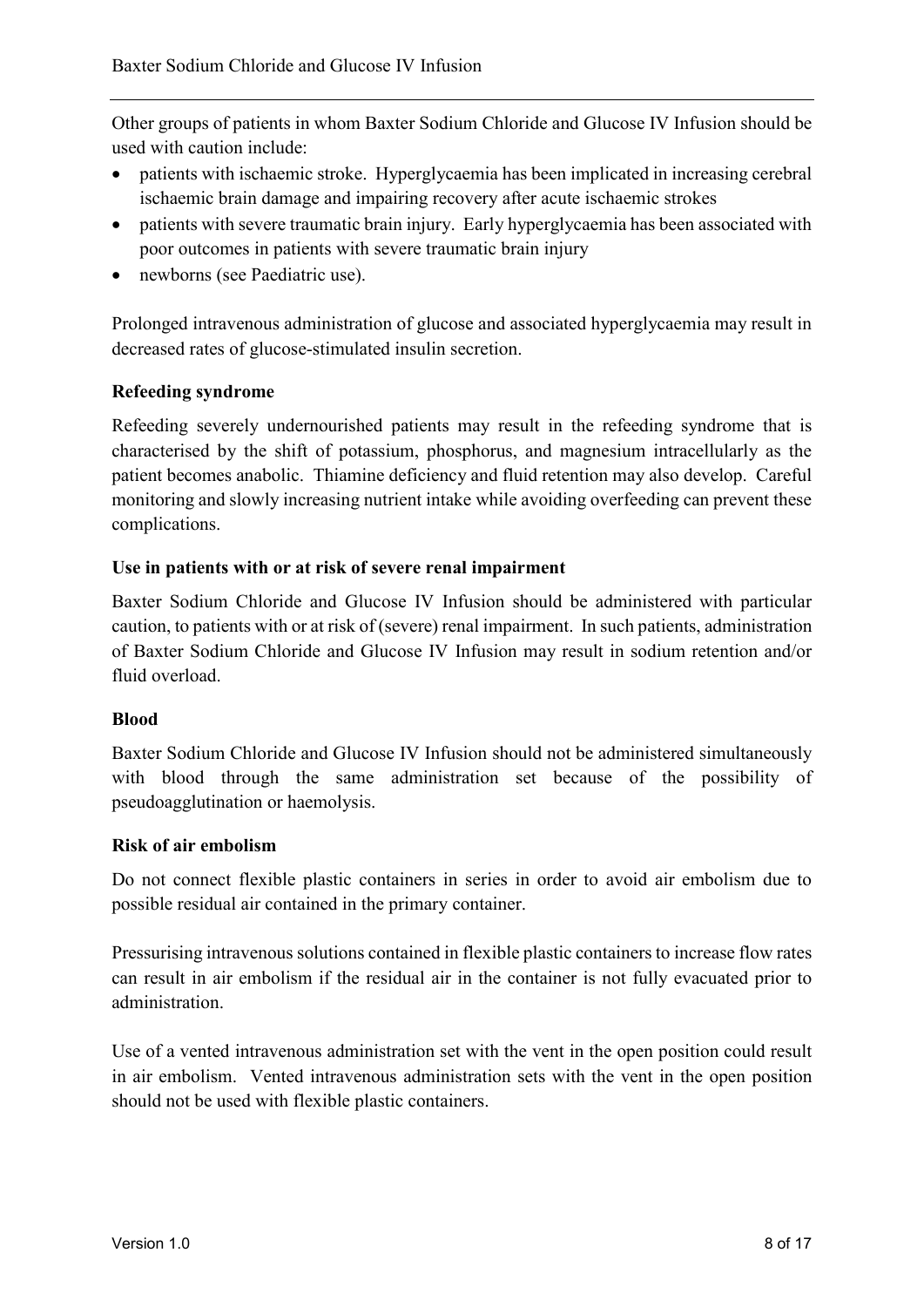Other groups of patients in whom Baxter Sodium Chloride and Glucose IV Infusion should be used with caution include:

- patients with ischaemic stroke. Hyperglycaemia has been implicated in increasing cerebral ischaemic brain damage and impairing recovery after acute ischaemic strokes
- patients with severe traumatic brain injury. Early hyperglycaemia has been associated with poor outcomes in patients with severe traumatic brain injury
- newborns (see Paediatric use).

Prolonged intravenous administration of glucose and associated hyperglycaemia may result in decreased rates of glucose-stimulated insulin secretion.

### **Refeeding syndrome**

Refeeding severely undernourished patients may result in the refeeding syndrome that is characterised by the shift of potassium, phosphorus, and magnesium intracellularly as the patient becomes anabolic. Thiamine deficiency and fluid retention may also develop. Careful monitoring and slowly increasing nutrient intake while avoiding overfeeding can prevent these complications.

#### **Use in patients with or at risk of severe renal impairment**

Baxter Sodium Chloride and Glucose IV Infusion should be administered with particular caution, to patients with or at risk of (severe) renal impairment. In such patients, administration of Baxter Sodium Chloride and Glucose IV Infusion may result in sodium retention and/or fluid overload.

#### **Blood**

Baxter Sodium Chloride and Glucose IV Infusion should not be administered simultaneously with blood through the same administration set because of the possibility of pseudoagglutination or haemolysis.

#### **Risk of air embolism**

Do not connect flexible plastic containers in series in order to avoid air embolism due to possible residual air contained in the primary container.

Pressurising intravenous solutions contained in flexible plastic containers to increase flow rates can result in air embolism if the residual air in the container is not fully evacuated prior to administration.

Use of a vented intravenous administration set with the vent in the open position could result in air embolism. Vented intravenous administration sets with the vent in the open position should not be used with flexible plastic containers.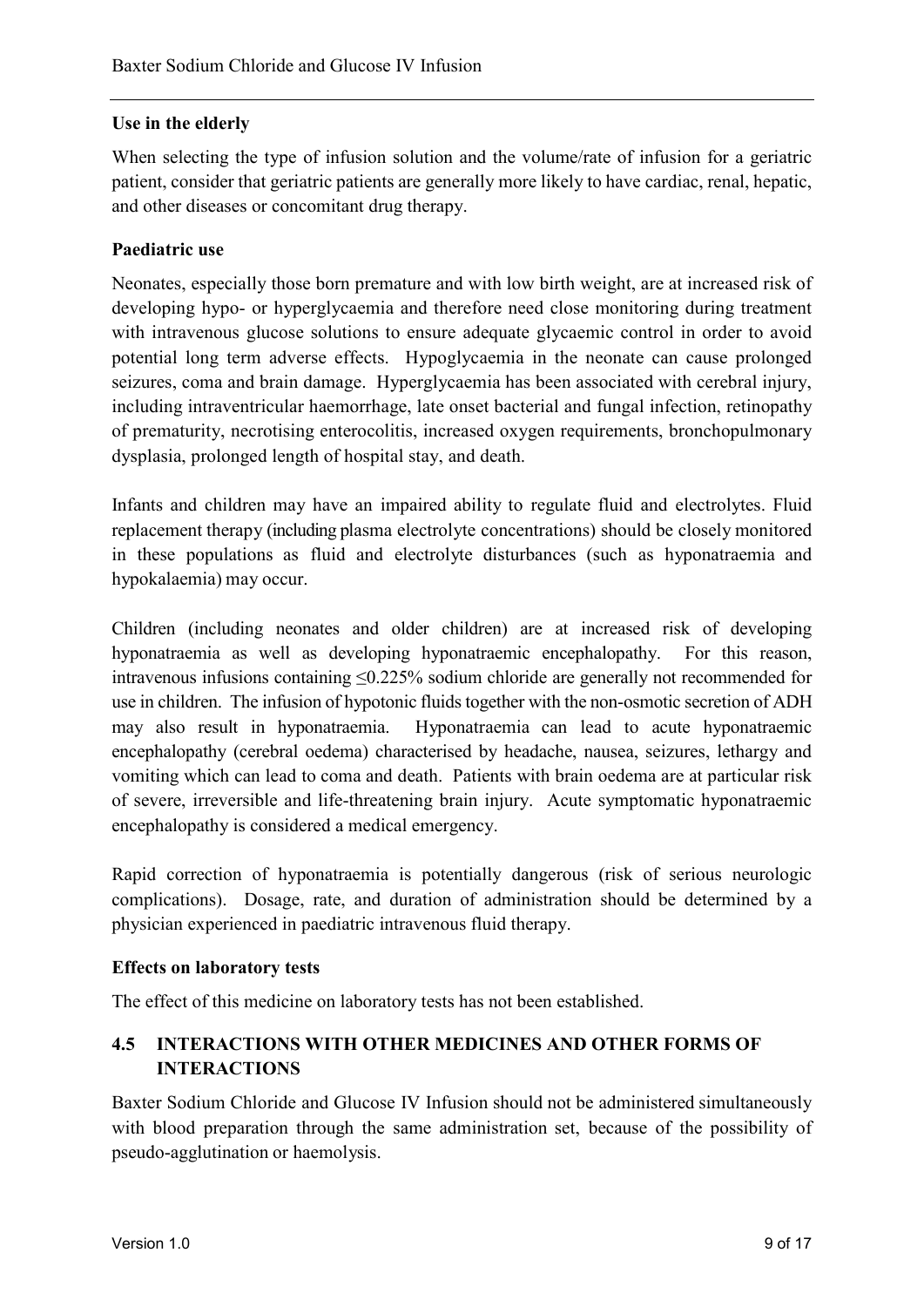#### **Use in the elderly**

When selecting the type of infusion solution and the volume/rate of infusion for a geriatric patient, consider that geriatric patients are generally more likely to have cardiac, renal, hepatic, and other diseases or concomitant drug therapy.

### **Paediatric use**

Neonates, especially those born premature and with low birth weight, are at increased risk of developing hypo- or hyperglycaemia and therefore need close monitoring during treatment with intravenous glucose solutions to ensure adequate glycaemic control in order to avoid potential long term adverse effects. Hypoglycaemia in the neonate can cause prolonged seizures, coma and brain damage. Hyperglycaemia has been associated with cerebral injury, including intraventricular haemorrhage, late onset bacterial and fungal infection, retinopathy of prematurity, necrotising enterocolitis, increased oxygen requirements, bronchopulmonary dysplasia, prolonged length of hospital stay, and death.

Infants and children may have an impaired ability to regulate fluid and electrolytes. Fluid replacement therapy (including plasma electrolyte concentrations) should be closely monitored in these populations as fluid and electrolyte disturbances (such as hyponatraemia and hypokalaemia) may occur.

Children (including neonates and older children) are at increased risk of developing hyponatraemia as well as developing hyponatraemic encephalopathy. For this reason, intravenous infusions containing ≤0.225% sodium chloride are generally not recommended for use in children. The infusion of hypotonic fluids together with the non-osmotic secretion of ADH may also result in hyponatraemia. Hyponatraemia can lead to acute hyponatraemic encephalopathy (cerebral oedema) characterised by headache, nausea, seizures, lethargy and vomiting which can lead to coma and death. Patients with brain oedema are at particular risk of severe, irreversible and life-threatening brain injury. Acute symptomatic hyponatraemic encephalopathy is considered a medical emergency.

Rapid correction of hyponatraemia is potentially dangerous (risk of serious neurologic complications). Dosage, rate, and duration of administration should be determined by a physician experienced in paediatric intravenous fluid therapy.

#### **Effects on laboratory tests**

The effect of this medicine on laboratory tests has not been established.

## **4.5 INTERACTIONS WITH OTHER MEDICINES AND OTHER FORMS OF INTERACTIONS**

Baxter Sodium Chloride and Glucose IV Infusion should not be administered simultaneously with blood preparation through the same administration set, because of the possibility of pseudo-agglutination or haemolysis.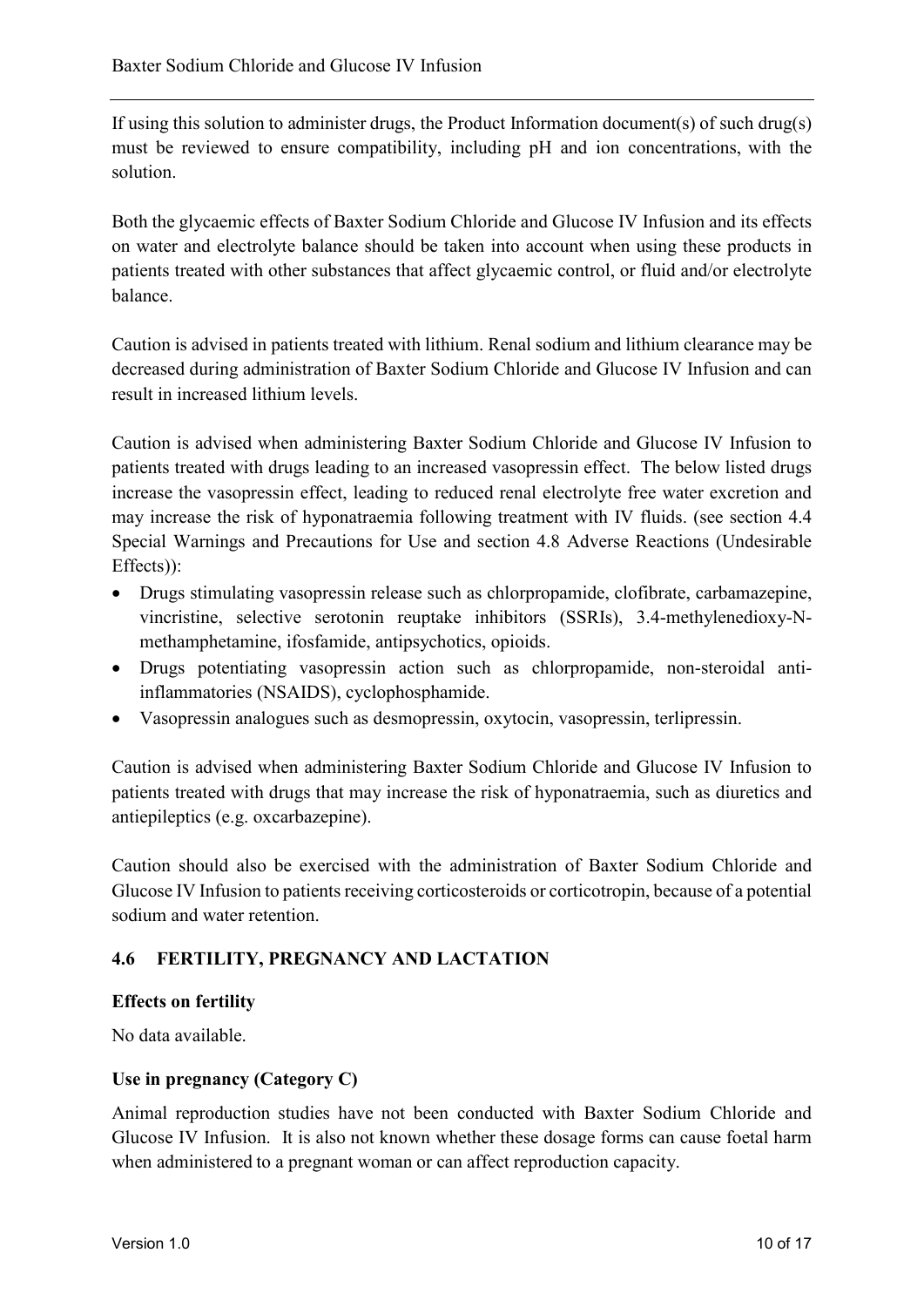If using this solution to administer drugs, the Product Information document(s) of such drug(s) must be reviewed to ensure compatibility, including pH and ion concentrations, with the solution.

Both the glycaemic effects of Baxter Sodium Chloride and Glucose IV Infusion and its effects on water and electrolyte balance should be taken into account when using these products in patients treated with other substances that affect glycaemic control, or fluid and/or electrolyte balance.

Caution is advised in patients treated with lithium. Renal sodium and lithium clearance may be decreased during administration of Baxter Sodium Chloride and Glucose IV Infusion and can result in increased lithium levels.

Caution is advised when administering Baxter Sodium Chloride and Glucose IV Infusion to patients treated with drugs leading to an increased vasopressin effect. The below listed drugs increase the vasopressin effect, leading to reduced renal electrolyte free water excretion and may increase the risk of hyponatraemia following treatment with IV fluids. (see section 4.4 Special Warnings and Precautions for Use and section 4.8 Adverse Reactions (Undesirable Effects)):

- Drugs stimulating vasopressin release such as chlorpropamide, clofibrate, carbamazepine, vincristine, selective serotonin reuptake inhibitors (SSRIs), 3.4-methylenedioxy-Nmethamphetamine, ifosfamide, antipsychotics, opioids.
- Drugs potentiating vasopressin action such as chlorpropamide, non-steroidal antiinflammatories (NSAIDS), cyclophosphamide.
- Vasopressin analogues such as desmopressin, oxytocin, vasopressin, terlipressin.

Caution is advised when administering Baxter Sodium Chloride and Glucose IV Infusion to patients treated with drugs that may increase the risk of hyponatraemia, such as diuretics and antiepileptics (e.g. oxcarbazepine).

Caution should also be exercised with the administration of Baxter Sodium Chloride and Glucose IV Infusion to patients receiving corticosteroids or corticotropin, because of a potential sodium and water retention.

## **4.6 FERTILITY, PREGNANCY AND LACTATION**

#### **Effects on fertility**

No data available.

#### **Use in pregnancy (Category C)**

Animal reproduction studies have not been conducted with Baxter Sodium Chloride and Glucose IV Infusion. It is also not known whether these dosage forms can cause foetal harm when administered to a pregnant woman or can affect reproduction capacity.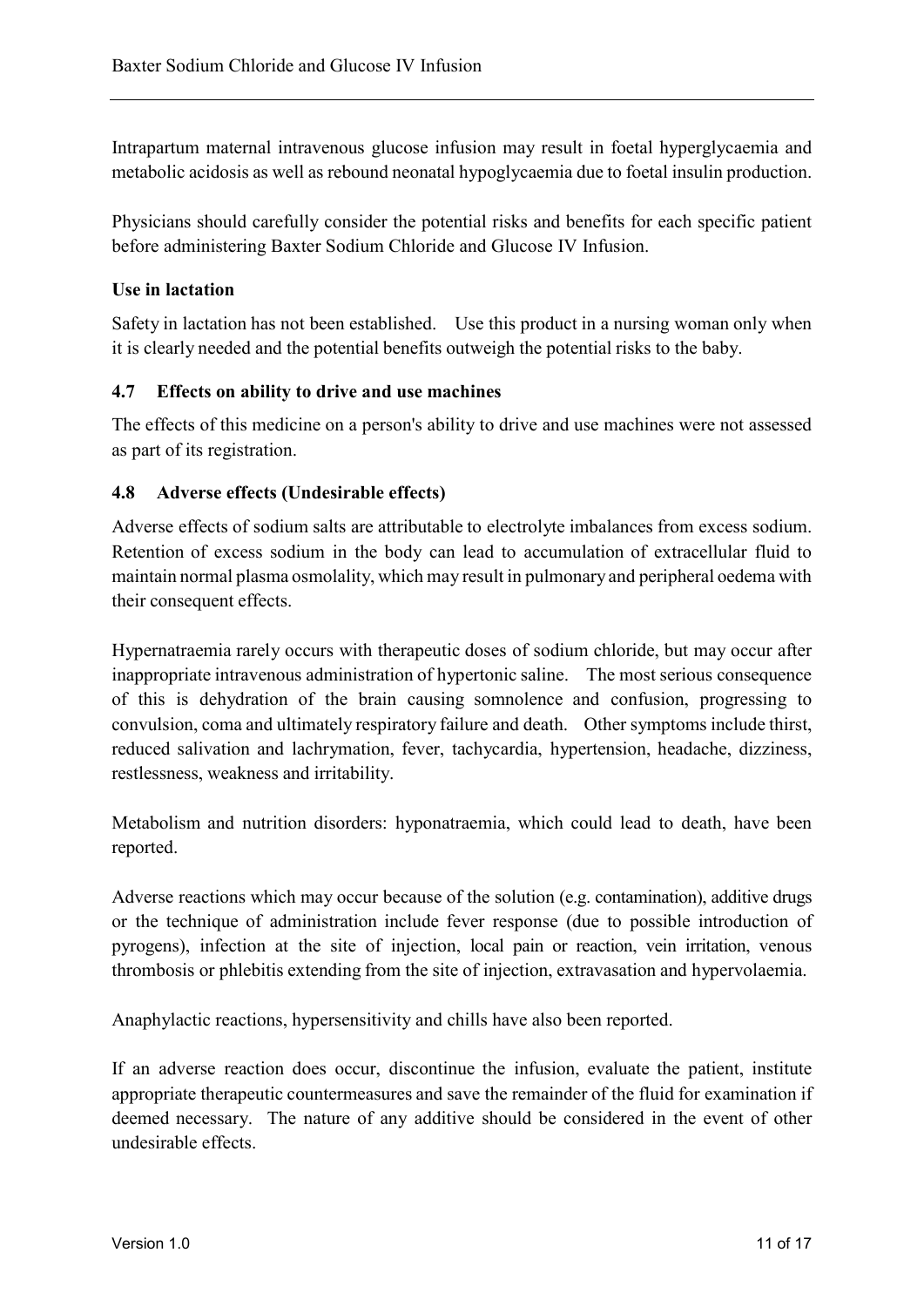Intrapartum maternal intravenous glucose infusion may result in foetal hyperglycaemia and metabolic acidosis as well as rebound neonatal hypoglycaemia due to foetal insulin production.

Physicians should carefully consider the potential risks and benefits for each specific patient before administering Baxter Sodium Chloride and Glucose IV Infusion.

#### **Use in lactation**

Safety in lactation has not been established. Use this product in a nursing woman only when it is clearly needed and the potential benefits outweigh the potential risks to the baby.

#### **4.7 Effects on ability to drive and use machines**

The effects of this medicine on a person's ability to drive and use machines were not assessed as part of its registration.

#### **4.8 Adverse effects (Undesirable effects)**

Adverse effects of sodium salts are attributable to electrolyte imbalances from excess sodium. Retention of excess sodium in the body can lead to accumulation of extracellular fluid to maintain normal plasma osmolality, which may result in pulmonary and peripheral oedema with their consequent effects.

Hypernatraemia rarely occurs with therapeutic doses of sodium chloride, but may occur after inappropriate intravenous administration of hypertonic saline. The most serious consequence of this is dehydration of the brain causing somnolence and confusion, progressing to convulsion, coma and ultimately respiratory failure and death. Other symptoms include thirst, reduced salivation and lachrymation, fever, tachycardia, hypertension, headache, dizziness, restlessness, weakness and irritability.

Metabolism and nutrition disorders: hyponatraemia, which could lead to death, have been reported.

Adverse reactions which may occur because of the solution (e.g. contamination), additive drugs or the technique of administration include fever response (due to possible introduction of pyrogens), infection at the site of injection, local pain or reaction, vein irritation, venous thrombosis or phlebitis extending from the site of injection, extravasation and hypervolaemia.

Anaphylactic reactions, hypersensitivity and chills have also been reported.

If an adverse reaction does occur, discontinue the infusion, evaluate the patient, institute appropriate therapeutic countermeasures and save the remainder of the fluid for examination if deemed necessary. The nature of any additive should be considered in the event of other undesirable effects.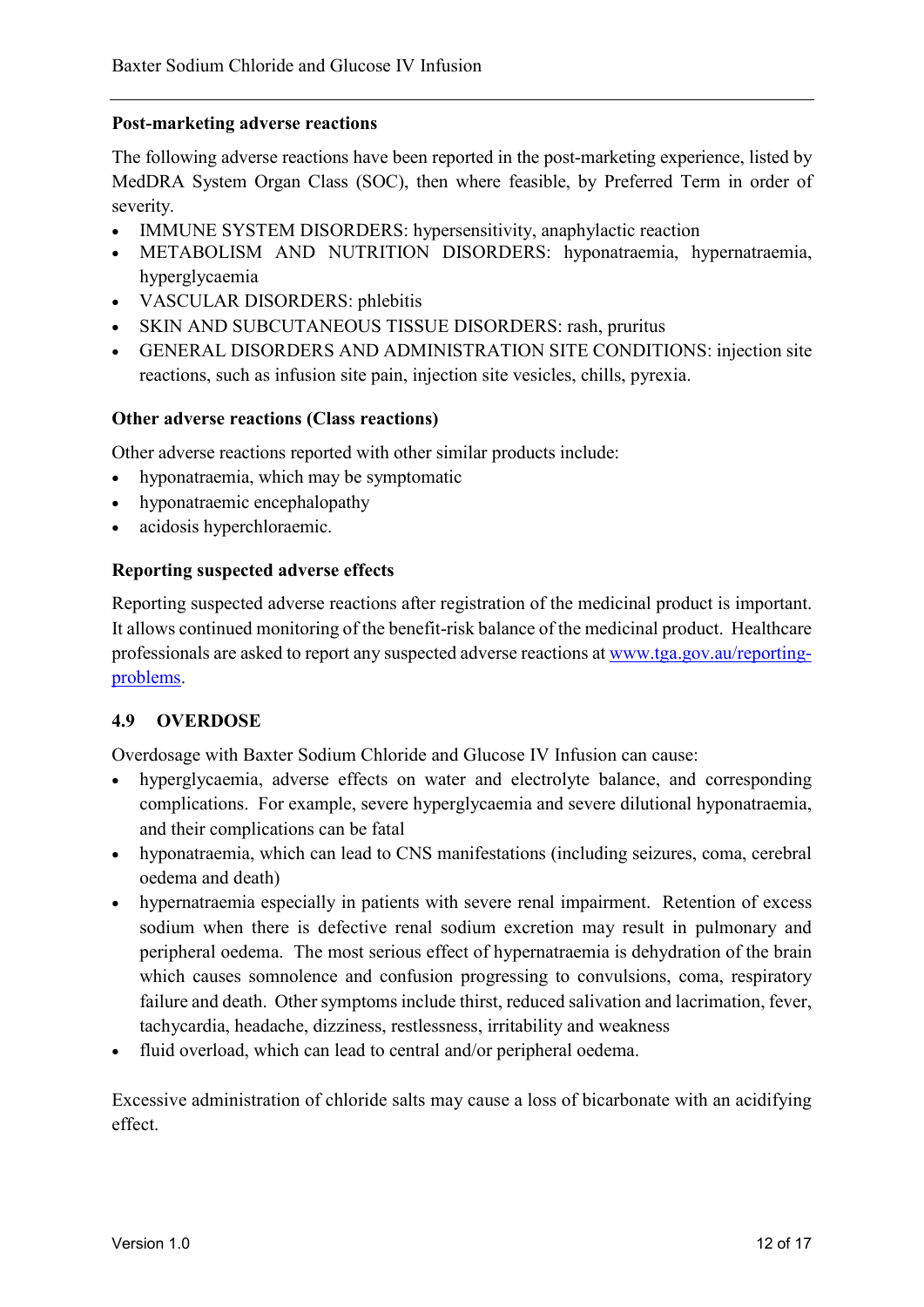#### **Post-marketing adverse reactions**

The following adverse reactions have been reported in the post-marketing experience, listed by MedDRA System Organ Class (SOC), then where feasible, by Preferred Term in order of severity.

- IMMUNE SYSTEM DISORDERS: hypersensitivity, anaphylactic reaction
- METABOLISM AND NUTRITION DISORDERS: hyponatraemia, hypernatraemia, hyperglycaemia
- VASCULAR DISORDERS: phlebitis
- SKIN AND SUBCUTANEOUS TISSUE DISORDERS: rash, pruritus
- GENERAL DISORDERS AND ADMINISTRATION SITE CONDITIONS: injection site reactions, such as infusion site pain, injection site vesicles, chills, pyrexia.

#### **Other adverse reactions (Class reactions)**

Other adverse reactions reported with other similar products include:

- hyponatraemia, which may be symptomatic
- hyponatraemic encephalopathy
- acidosis hyperchloraemic.

#### **Reporting suspected adverse effects**

Reporting suspected adverse reactions after registration of the medicinal product is important. It allows continued monitoring of the benefit-risk balance of the medicinal product. Healthcare professionals are asked to report any suspected adverse reactions at [www.tga.gov.au/reporting](http://www.tga.gov.au/reporting-problems)[problems.](http://www.tga.gov.au/reporting-problems)

#### **4.9 OVERDOSE**

Overdosage with Baxter Sodium Chloride and Glucose IV Infusion can cause:

- hyperglycaemia, adverse effects on water and electrolyte balance, and corresponding complications. For example, severe hyperglycaemia and severe dilutional hyponatraemia, and their complications can be fatal
- hyponatraemia, which can lead to CNS manifestations (including seizures, coma, cerebral oedema and death)
- hypernatraemia especially in patients with severe renal impairment. Retention of excess sodium when there is defective renal sodium excretion may result in pulmonary and peripheral oedema. The most serious effect of hypernatraemia is dehydration of the brain which causes somnolence and confusion progressing to convulsions, coma, respiratory failure and death. Other symptoms include thirst, reduced salivation and lacrimation, fever, tachycardia, headache, dizziness, restlessness, irritability and weakness
- fluid overload, which can lead to central and/or peripheral oedema.

Excessive administration of chloride salts may cause a loss of bicarbonate with an acidifying effect.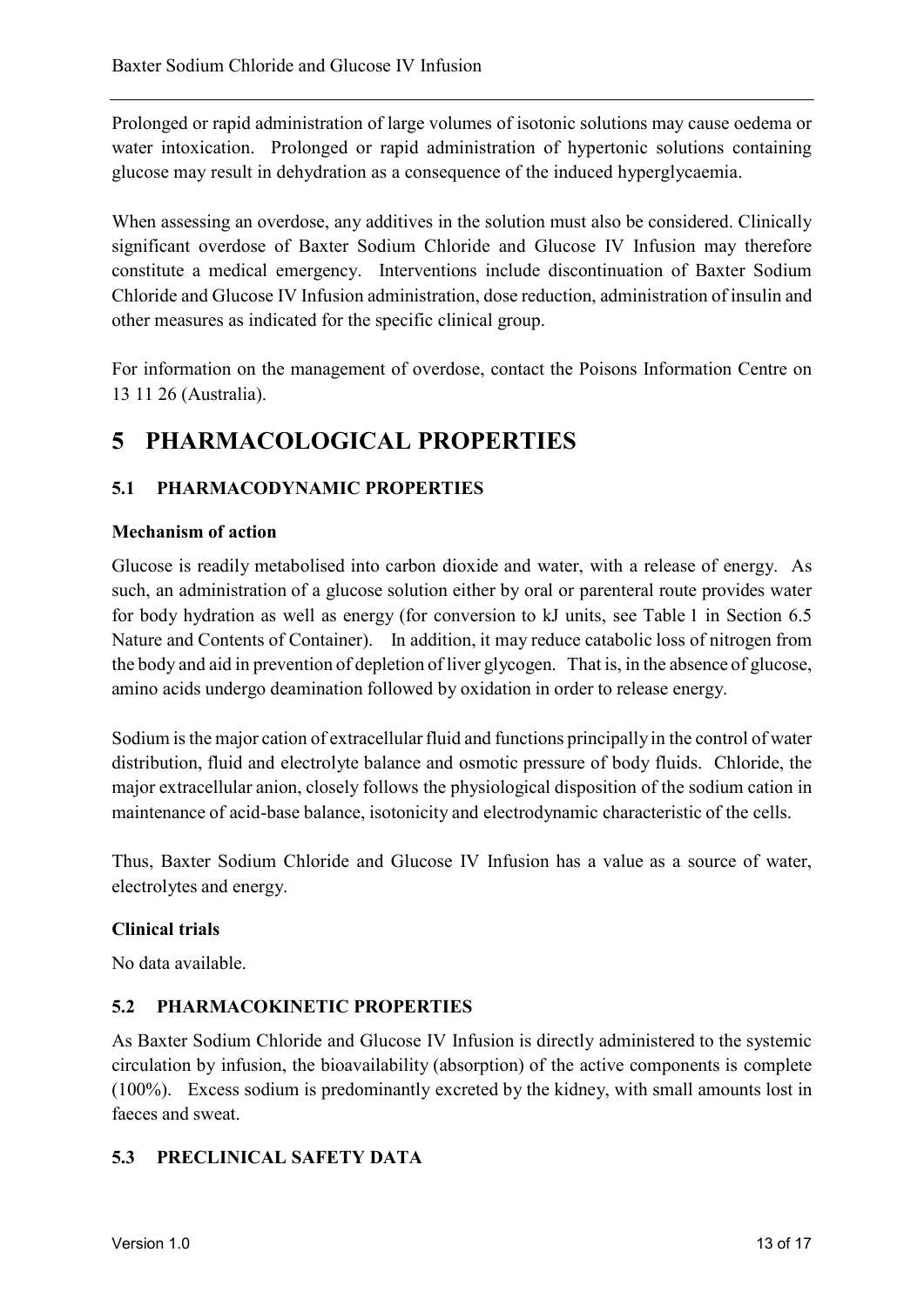Prolonged or rapid administration of large volumes of isotonic solutions may cause oedema or water intoxication. Prolonged or rapid administration of hypertonic solutions containing glucose may result in dehydration as a consequence of the induced hyperglycaemia.

When assessing an overdose, any additives in the solution must also be considered. Clinically significant overdose of Baxter Sodium Chloride and Glucose IV Infusion may therefore constitute a medical emergency. Interventions include discontinuation of Baxter Sodium Chloride and Glucose IV Infusion administration, dose reduction, administration of insulin and other measures as indicated for the specific clinical group.

For information on the management of overdose, contact the Poisons Information Centre on 13 11 26 (Australia).

## **5 PHARMACOLOGICAL PROPERTIES**

## **5.1 PHARMACODYNAMIC PROPERTIES**

### **Mechanism of action**

Glucose is readily metabolised into carbon dioxide and water, with a release of energy. As such, an administration of a glucose solution either by oral or parenteral route provides water for body hydration as well as energy (for conversion to kJ units, see Table 1 in Section 6.5 Nature and Contents of Container). In addition, it may reduce catabolic loss of nitrogen from the body and aid in prevention of depletion of liver glycogen. That is, in the absence of glucose, amino acids undergo deamination followed by oxidation in order to release energy.

Sodium isthe major cation of extracellularfluid and functions principally in the control of water distribution, fluid and electrolyte balance and osmotic pressure of body fluids. Chloride, the major extracellular anion, closely follows the physiological disposition of the sodium cation in maintenance of acid-base balance, isotonicity and electrodynamic characteristic of the cells.

Thus, Baxter Sodium Chloride and Glucose IV Infusion has a value as a source of water, electrolytes and energy.

#### **Clinical trials**

No data available.

## **5.2 PHARMACOKINETIC PROPERTIES**

As Baxter Sodium Chloride and Glucose IV Infusion is directly administered to the systemic circulation by infusion, the bioavailability (absorption) of the active components is complete (100%). Excess sodium is predominantly excreted by the kidney, with small amounts lost in faeces and sweat.

## **5.3 PRECLINICAL SAFETY DATA**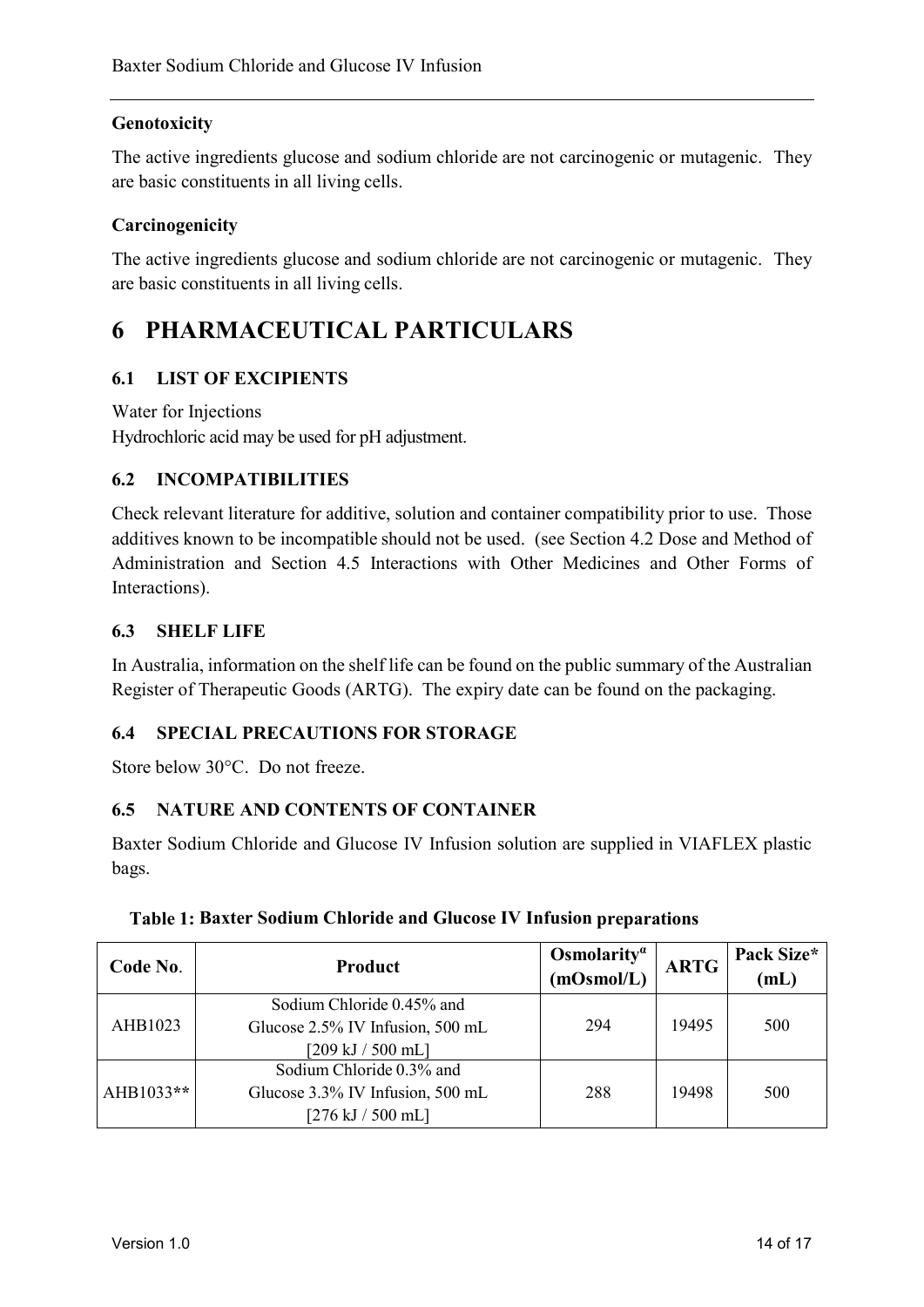### **Genotoxicity**

The active ingredients glucose and sodium chloride are not carcinogenic or mutagenic. They are basic constituents in all living cells.

#### **Carcinogenicity**

The active ingredients glucose and sodium chloride are not carcinogenic or mutagenic. They are basic constituents in all living cells.

## **6 PHARMACEUTICAL PARTICULARS**

### **6.1 LIST OF EXCIPIENTS**

Water for Injections Hydrochloric acid may be used for pH adjustment.

### **6.2 INCOMPATIBILITIES**

Check relevant literature for additive, solution and container compatibility prior to use. Those additives known to be incompatible should not be used. (see Section 4.2 Dose and Method of Administration and Section 4.5 Interactions with Other Medicines and Other Forms of Interactions).

#### **6.3 SHELF LIFE**

In Australia, information on the shelf life can be found on the public summary of the Australian Register of Therapeutic Goods (ARTG). The expiry date can be found on the packaging.

#### **6.4 SPECIAL PRECAUTIONS FOR STORAGE**

Store below 30°C. Do not freeze.

#### **6.5 NATURE AND CONTENTS OF CONTAINER**

Baxter Sodium Chloride and Glucose IV Infusion solution are supplied in VIAFLEX plastic bags.

| Code No.  | <b>Product</b>                   | Osmolarity <sup><math>\alpha</math></sup><br>(mOsmol/L) | <b>ARTG</b> | Pack Size*<br>mL |
|-----------|----------------------------------|---------------------------------------------------------|-------------|------------------|
| AHB1023   | Sodium Chloride 0.45% and        |                                                         |             |                  |
|           | Glucose 2.5% IV Infusion, 500 mL | 294                                                     | 19495       | 500              |
|           | [209 kJ / 500 mL]                |                                                         |             |                  |
| AHB1033** | Sodium Chloride 0.3% and         |                                                         |             |                  |
|           | Glucose 3.3% IV Infusion, 500 mL | 288                                                     | 19498       | 500              |
|           | [276 kJ / 500 mL]                |                                                         |             |                  |

#### **Table 1: Baxter Sodium Chloride and Glucose IV Infusion preparations**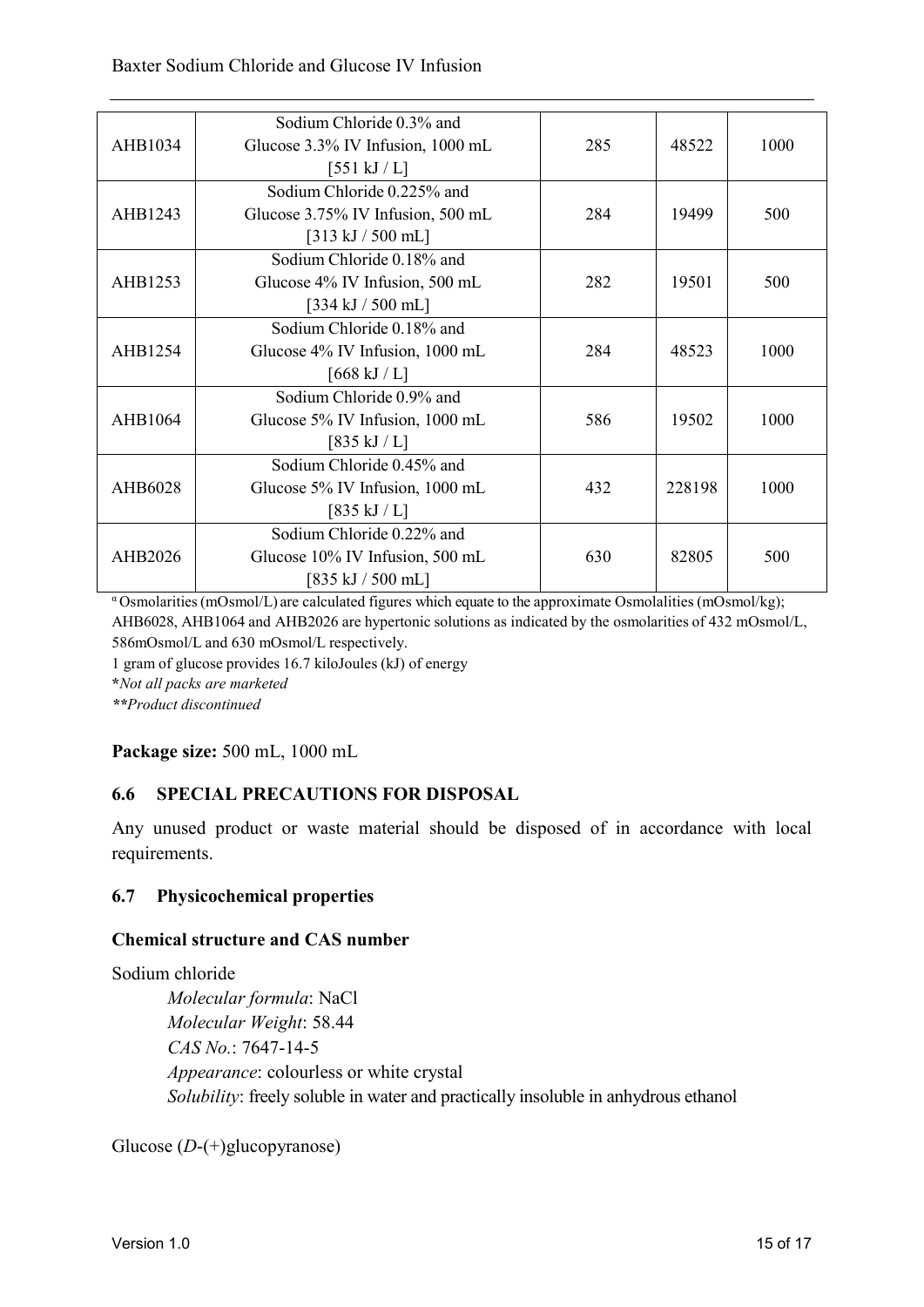#### Baxter Sodium Chloride and Glucose IV Infusion

| AHB1034 | Sodium Chloride 0.3% and<br>Glucose 3.3% IV Infusion, 1000 mL<br>$[551 \mathrm{kJ}/\mathrm{L}]$        | 285 | 48522  | 1000 |
|---------|--------------------------------------------------------------------------------------------------------|-----|--------|------|
| AHB1243 | Sodium Chloride 0.225% and<br>Glucose 3.75% IV Infusion, 500 mL<br>$[313 \text{ kJ} / 500 \text{ mL}]$ | 284 | 19499  | 500  |
| AHB1253 | Sodium Chloride 0.18% and<br>Glucose 4% IV Infusion, 500 mL<br>$[334 \mathrm{kJ} / 500 \mathrm{mL}]$   | 282 | 19501  | 500  |
| AHB1254 | Sodium Chloride 0.18% and<br>Glucose 4% IV Infusion, 1000 mL<br>$[668 \text{ kJ} / \text{L}]$          | 284 | 48523  | 1000 |
| AHB1064 | Sodium Chloride 0.9% and<br>Glucose 5% IV Infusion, 1000 mL<br>$[835 \mathrm{kJ} / \mathrm{L}]$        | 586 | 19502  | 1000 |
| AHB6028 | Sodium Chloride 0.45% and<br>Glucose 5% IV Infusion, 1000 mL<br>$[835 \mathrm{kJ} / \mathrm{L}]$       | 432 | 228198 | 1000 |
| AHB2026 | Sodium Chloride 0.22% and<br>Glucose 10% IV Infusion, 500 mL<br>$[835 \text{ kJ} / 500 \text{ mL}]$    | 630 | 82805  | 500  |

<sup>α</sup> Osmolarities(mOsmol/L) are calculated figures which equate to the approximate Osmolalities (mOsmol/kg); AHB6028, AHB1064 and AHB2026 are hypertonic solutions as indicated by the osmolarities of 432 mOsmol/L, 586mOsmol/L and 630 mOsmol/L respectively.

1 gram of glucose provides 16.7 kiloJoules (kJ) of energy

**\****Not all packs are marketed*

*\*\*Product discontinued*

**Package size:** 500 mL, 1000 mL

#### **6.6 SPECIAL PRECAUTIONS FOR DISPOSAL**

Any unused product or waste material should be disposed of in accordance with local requirements.

#### **6.7 Physicochemical properties**

#### **Chemical structure and CAS number**

Sodium chloride

*Molecular formula*: NaCl *Molecular Weight*: 58.44 *CAS No.*: 7647-14-5 *Appearance*: colourless or white crystal *Solubility*: freely soluble in water and practically insoluble in anhydrous ethanol

Glucose (*D*-(+)glucopyranose)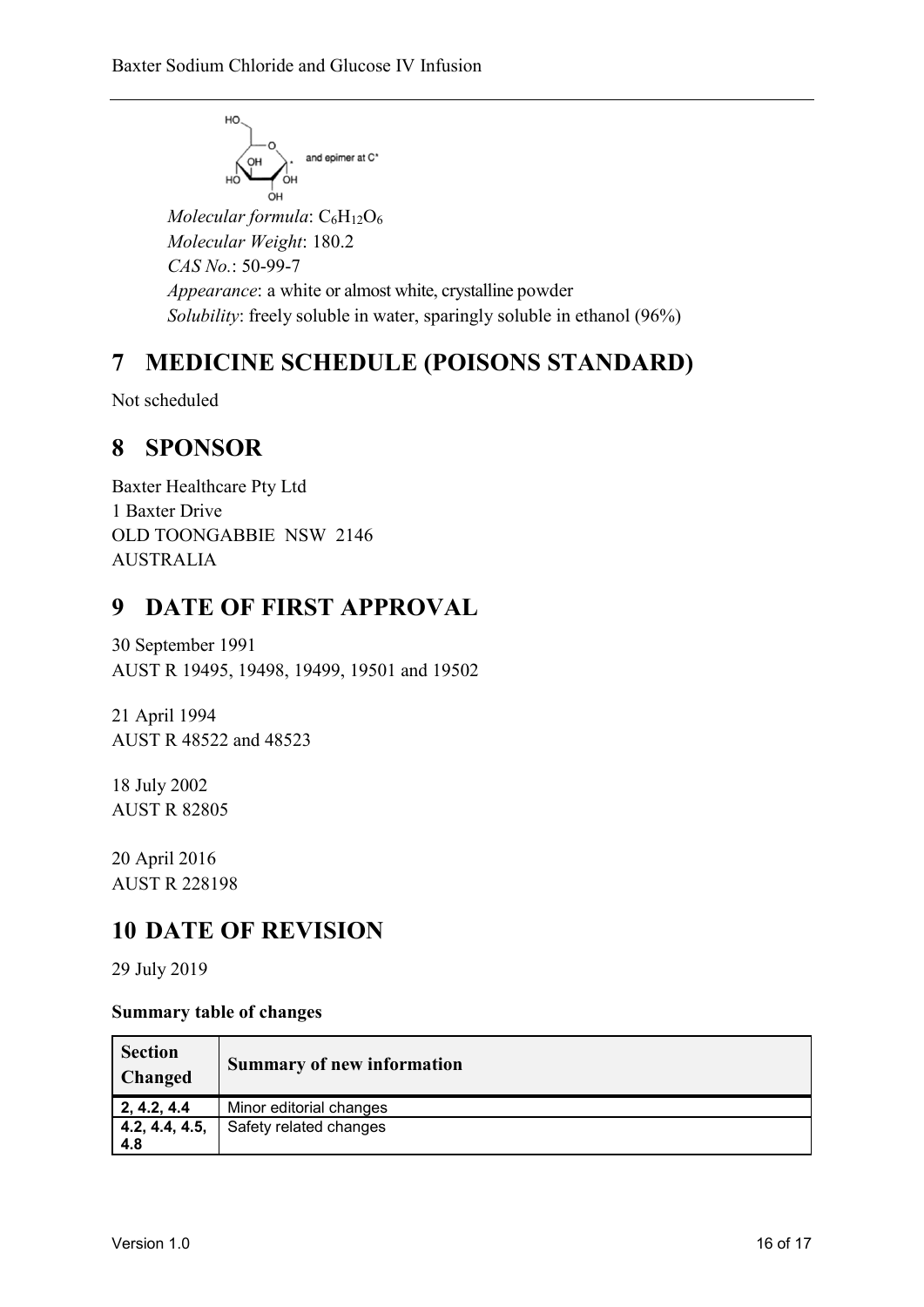$$
\begin{array}{c}\n\hline\n\end{array}
$$
\n
$$
\begin{array}{c}\n\hline\n\end{array}
$$
\n
$$
\begin{array}{c}\n\hline\n\end{array}
$$
\n
$$
\begin{array}{c}\n\hline\n\end{array}
$$
\nand epimer at C<sup>\*</sup>

*Molecular formula*: C<sub>6</sub>H<sub>12</sub>O<sub>6</sub> *Molecular Weight*: 180.2 *CAS No.*: 50-99-7 *Appearance*: a white or almost white, crystalline powder *Solubility*: freely soluble in water, sparingly soluble in ethanol (96%)

## **7 MEDICINE SCHEDULE (POISONS STANDARD)**

Not scheduled

## **8 SPONSOR**

Baxter Healthcare Pty Ltd 1 Baxter Drive OLD TOONGABBIE NSW 2146 AUSTRALIA

## **9 DATE OF FIRST APPROVAL**

30 September 1991 AUST R 19495, 19498, 19499, 19501 and 19502

21 April 1994 AUST R 48522 and 48523

18 July 2002 AUST R 82805

20 April 2016 AUST R 228198

## **10 DATE OF REVISION**

29 July 2019

### **Summary table of changes**

| <b>Section</b><br><b>Changed</b> | <b>Summary of new information</b> |
|----------------------------------|-----------------------------------|
| 2, 4.2, 4.4                      | Minor editorial changes           |
| 4.2, 4.4, 4.5,<br>4.8            | Safety related changes            |